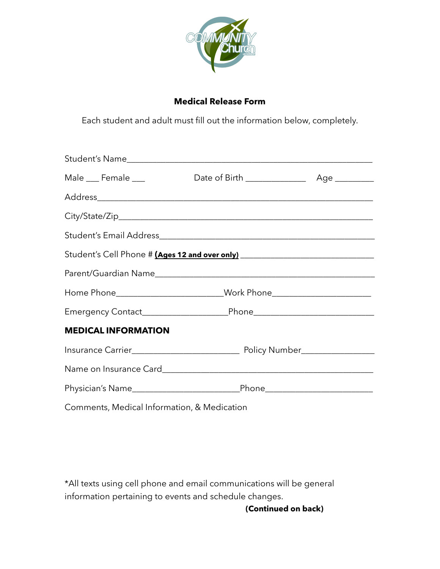

## **Medical Release Form**

Each student and adult must fill out the information below, completely.

| Male __ Female __                           |                                                                                  |  |
|---------------------------------------------|----------------------------------------------------------------------------------|--|
|                                             |                                                                                  |  |
|                                             |                                                                                  |  |
|                                             |                                                                                  |  |
|                                             |                                                                                  |  |
|                                             |                                                                                  |  |
|                                             | Home Phone____________________________Work Phone________________________________ |  |
|                                             |                                                                                  |  |
| <b>MEDICAL INFORMATION</b>                  |                                                                                  |  |
|                                             |                                                                                  |  |
|                                             |                                                                                  |  |
|                                             |                                                                                  |  |
| Comments, Medical Information, & Medication |                                                                                  |  |

\*All texts using cell phone and email communications will be general information pertaining to events and schedule changes.

**(Continued on back)**